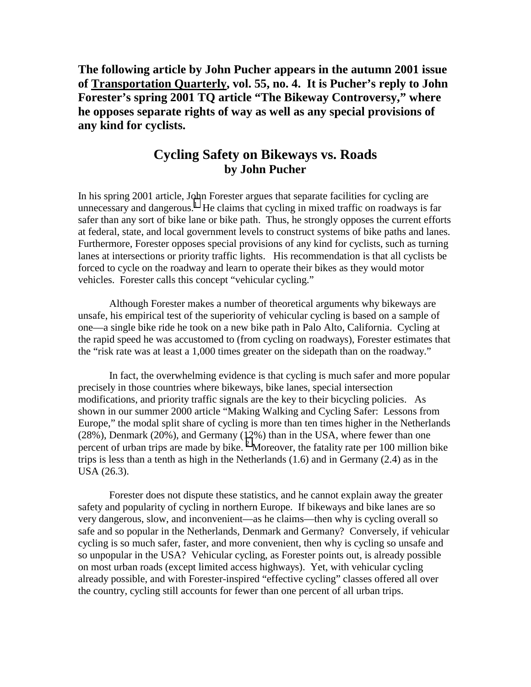**The following article by John Pucher appears in the autumn 2001 issue of Transportation Quarterly, vol. 55, no. 4. It is Pucher's reply to John Forester's spring 2001 TQ article "The Bikeway Controversy," where he opposes separate rights of way as well as any special provisions of any kind for cyclists.** 

## **Cycling Safety on Bikeways vs. Roads by John Pucher**

In his spring 2001 article, John Forester argues that separate facilities for cycling are unnecessary and dangerous.<sup>[1](#page-2-0)</sup> He claims that cycling in mixed traffic on roadways is far safer than any sort of bike lane or bike path. Thus, he strongly opposes the current efforts at federal, state, and local government levels to construct systems of bike paths and lanes. Furthermore, Forester opposes special provisions of any kind for cyclists, such as turning lanes at intersections or priority traffic lights. His recommendation is that all cyclists be forced to cycle on the roadway and learn to operate their bikes as they would motor vehicles. Forester calls this concept "vehicular cycling."

 Although Forester makes a number of theoretical arguments why bikeways are unsafe, his empirical test of the superiority of vehicular cycling is based on a sample of one—a single bike ride he took on a new bike path in Palo Alto, California. Cycling at the rapid speed he was accustomed to (from cycling on roadways), Forester estimates that the "risk rate was at least a 1,000 times greater on the sidepath than on the roadway."

 In fact, the overwhelming evidence is that cycling is much safer and more popular precisely in those countries where bikeways, bike lanes, special intersection modifications, and priority traffic signals are the key to their bicycling policies. As shown in our summer 2000 article "Making Walking and Cycling Safer: Lessons from Europe," the modal split share of cycling is more than ten times higher in the Netherlands (28%), Denmark (20%), and Germany (12%) than in the USA, where fewer than one percent of urban trips are made by bike.<sup>[2](#page-2-0)</sup> Moreover, the fatality rate per 100 million bike trips is less than a tenth as high in the Netherlands (1.6) and in Germany (2.4) as in the USA (26.3).

Forester does not dispute these statistics, and he cannot explain away the greater safety and popularity of cycling in northern Europe. If bikeways and bike lanes are so very dangerous, slow, and inconvenient—as he claims—then why is cycling overall so safe and so popular in the Netherlands, Denmark and Germany? Conversely, if vehicular cycling is so much safer, faster, and more convenient, then why is cycling so unsafe and so unpopular in the USA? Vehicular cycling, as Forester points out, is already possible on most urban roads (except limited access highways). Yet, with vehicular cycling already possible, and with Forester-inspired "effective cycling" classes offered all over the country, cycling still accounts for fewer than one percent of all urban trips.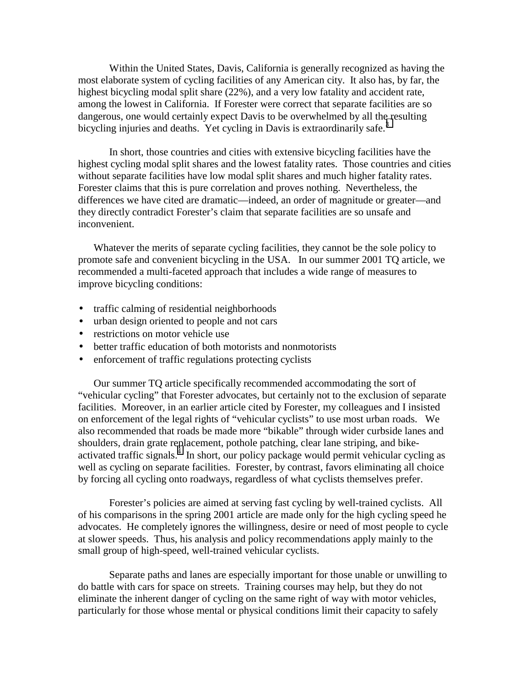Within the United States, Davis, California is generally recognized as having the most elaborate system of cycling facilities of any American city. It also has, by far, the highest bicycling modal split share (22%), and a very low fatality and accident rate, among the lowest in California. If Forester were correct that separate facilities are so dangerous, one would certainly expect Davis to be overwhelmed by all th[e r](#page-2-0)esulting bicycling injuries and deaths. Yet cycling in Davis is extraordinarily safe.<sup>3</sup>

In short, those countries and cities with extensive bicycling facilities have the highest cycling modal split shares and the lowest fatality rates. Those countries and cities without separate facilities have low modal split shares and much higher fatality rates. Forester claims that this is pure correlation and proves nothing. Nevertheless, the differences we have cited are dramatic—indeed, an order of magnitude or greater—and they directly contradict Forester's claim that separate facilities are so unsafe and inconvenient.

Whatever the merits of separate cycling facilities, they cannot be the sole policy to promote safe and convenient bicycling in the USA. In our summer 2001 TQ article, we recommended a multi-faceted approach that includes a wide range of measures to improve bicycling conditions:

- traffic calming of residential neighborhoods
- urban design oriented to people and not cars
- restrictions on motor vehicle use
- better traffic education of both motorists and nonmotorists
- enforcement of traffic regulations protecting cyclists

Our summer TQ article specifically recommended accommodating the sort of "vehicular cycling" that Forester advocates, but certainly not to the exclusion of separate facilities. Moreover, in an earlier article cited by Forester, my colleagues and I insisted on enforcement of the legal rights of "vehicular cyclists" to use most urban roads. We also recommended that roads be made more "bikable" through wider curbside lanes and shoulders, drain grate replacement, pothole patching, clear lane striping, and bikeactivated traffic signals.<sup> $\frac{1}{4}$  $\frac{1}{4}$  $\frac{1}{4}$ </sup> In short, our policy package would permit vehicular cycling as well as cycling on separate facilities. Forester, by contrast, favors eliminating all choice by forcing all cycling onto roadways, regardless of what cyclists themselves prefer.

 Forester's policies are aimed at serving fast cycling by well-trained cyclists. All of his comparisons in the spring 2001 article are made only for the high cycling speed he advocates. He completely ignores the willingness, desire or need of most people to cycle at slower speeds. Thus, his analysis and policy recommendations apply mainly to the small group of high-speed, well-trained vehicular cyclists.

Separate paths and lanes are especially important for those unable or unwilling to do battle with cars for space on streets. Training courses may help, but they do not eliminate the inherent danger of cycling on the same right of way with motor vehicles, particularly for those whose mental or physical conditions limit their capacity to safely